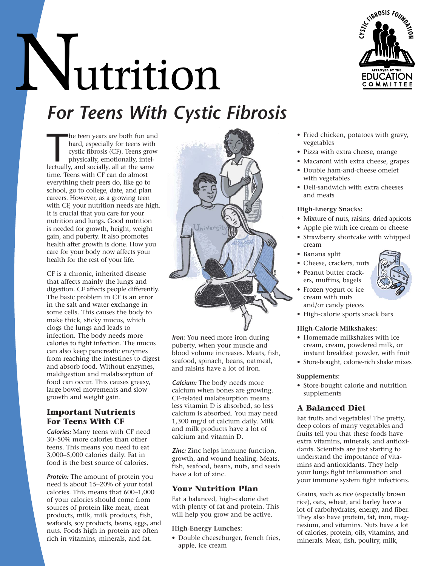# Nutrition *For Teens With Cystic Fibrosis*



he teen years are both fun an<br>hard, especially for teens with<br>cystic fibrosis (CF). Teens grou<br>physically, emotionally, intel-<br>lectually, and socially, all at the same he teen years are both fun and hard, especially for teens with cystic fibrosis (CF). Teens grow physically, emotionally, inteltime. Teens with CF can do almost everything their peers do, like go to school, go to college, date, and plan careers. However, as a growing teen with CF, your nutrition needs are high. It is crucial that you care for your nutrition and lungs. Good nutrition is needed for growth, height, weight gain, and puberty. It also promotes health after growth is done. How you care for your body now affects your health for the rest of your life.

CF is a chronic, inherited disease that affects mainly the lungs and digestion. CF affects people differently. The basic problem in CF is an error in the salt and water exchange in some cells. This causes the body to make thick, sticky mucus, which clogs the lungs and leads to infection. The body needs more calories to fight infection. The mucus can also keep pancreatic enzymes from reaching the intestines to digest and absorb food. Without enzymes, maldigestion and malabsorption of food can occur. This causes greasy, large bowel movements and slow growth and weight gain.

#### **Important Nutrients For Teens With CF**

*Calories:* Many teens with CF need 30–50% more calories than other teens. This means you need to eat 3,000–5,000 calories daily. Fat in food is the best source of calories.

*Protein:* The amount of protein you need is about 15–20% of your total calories. This means that 600–1,000 of your calories should come from sources of protein like meat, meat products, milk, milk products, fish, seafoods, soy products, beans, eggs, and nuts. Foods high in protein are often rich in vitamins, minerals, and fat.



*Iron:* You need more iron during puberty, when your muscle and blood volume increases. Meats, fish, seafood, spinach, beans, oatmeal, and raisins have a lot of iron.

*Calcium:* The body needs more calcium when bones are growing. CF-related malabsorption means less vitamin D is absorbed, so less calcium is absorbed. You may need 1,300 mg/d of calcium daily. Milk and milk products have a lot of calcium and vitamin D.

*Zinc:* Zinc helps immune function, growth, and wound healing. Meats, fish, seafood, beans, nuts, and seeds have a lot of zinc.

# **Your Nutrition Plan**

Eat a balanced, high-calorie diet with plenty of fat and protein. This will help you grow and be active.

#### **High-Energy Lunches:**

• Double cheeseburger, french fries, apple, ice cream

- Fried chicken, potatoes with gravy, vegetables
- Pizza with extra cheese, orange
- Macaroni with extra cheese, grapes
- Double ham-and-cheese omelet with vegetables
- Deli-sandwich with extra cheeses and meats

#### **High-Energy Snacks:**

- Mixture of nuts, raisins, dried apricots
- Apple pie with ice cream or cheese
- Strawberry shortcake with whipped cream
- Banana split
- Cheese, crackers, nuts
- Peanut butter crackers, muffins, bagels
- Frozen yogurt or ice cream with nuts and/or candy pieces
- High-calorie sports snack bars

#### **High-Calorie Milkshakes:**

- Homemade milkshakes with ice cream, cream, powdered milk, or instant breakfast powder, with fruit
- Store-bought, calorie-rich shake mixes

#### **Supplements:**

• Store-bought calorie and nutrition supplements

# **A Balanced Diet**

Eat fruits and vegetables! The pretty, deep colors of many vegetables and fruits tell you that these foods have extra vitamins, minerals, and antioxidants. Scientists are just starting to understand the importance of vitamins and antioxidants. They help your lungs fight inflammation and your immune system fight infections.

Grains, such as rice (especially brown rice), oats, wheat, and barley have a lot of carbohydrates, energy, and fiber. They also have protein, fat, iron, magnesium, and vitamins. Nuts have a lot of calories, protein, oils, vitamins, and minerals. Meat, fish, poultry, milk,